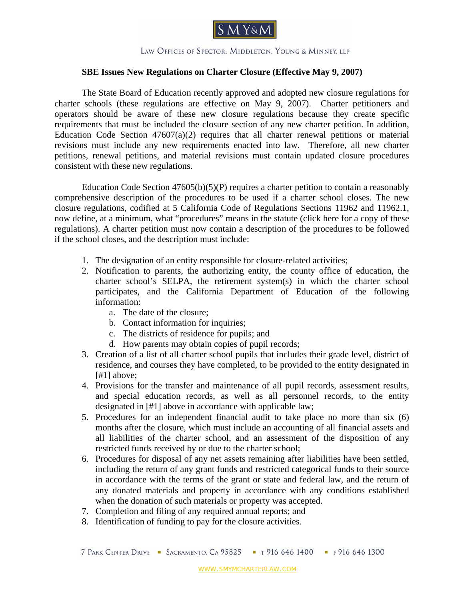

LAW OFFICES OF SPECTOR. MIDDLETON. YOUNG & MINNEY, LLP

## **SBE Issues New Regulations on Charter Closure (Effective May 9, 2007)**

The State Board of Education recently approved and adopted new closure regulations for charter schools (these regulations are effective on May 9, 2007). Charter petitioners and operators should be aware of these new closure regulations because they create specific requirements that must be included the closure section of any new charter petition. In addition, Education Code Section  $47607(a)(2)$  requires that all charter renewal petitions or material revisions must include any new requirements enacted into law. Therefore, all new charter petitions, renewal petitions, and material revisions must contain updated closure procedures consistent with these new regulations.

Education Code Section  $47605(b)(5)(P)$  requires a charter petition to contain a reasonably comprehensive description of the procedures to be used if a charter school closes. The new closure regulations, codified at 5 California Code of Regulations Sections 11962 and 11962.1, now define, at a minimum, what "procedures" means in the statute [\(click here for a copy of these](Closure_regulations_0503071.pdf)  [regulations\)](Closure_regulations_0503071.pdf). A charter petition must now contain a description of the procedures to be followed if the school closes, and the description must include:

- 1. The designation of an entity responsible for closure-related activities;
- 2. Notification to parents, the authorizing entity, the county office of education, the charter school's SELPA, the retirement system(s) in which the charter school participates, and the California Department of Education of the following information:
	- a. The date of the closure;
	- b. Contact information for inquiries;
	- c. The districts of residence for pupils; and
	- d. How parents may obtain copies of pupil records;
- 3. Creation of a list of all charter school pupils that includes their grade level, district of residence, and courses they have completed, to be provided to the entity designated in [#1] above;
- 4. Provisions for the transfer and maintenance of all pupil records, assessment results, and special education records, as well as all personnel records, to the entity designated in [#1] above in accordance with applicable law;
- 5. Procedures for an independent financial audit to take place no more than six (6) months after the closure, which must include an accounting of all financial assets and all liabilities of the charter school, and an assessment of the disposition of any restricted funds received by or due to the charter school;
- 6. Procedures for disposal of any net assets remaining after liabilities have been settled, including the return of any grant funds and restricted categorical funds to their source in accordance with the terms of the grant or state and federal law, and the return of any donated materials and property in accordance with any conditions established when the donation of such materials or property was accepted.
- 7. Completion and filing of any required annual reports; and
- 8. Identification of funding to pay for the closure activities.